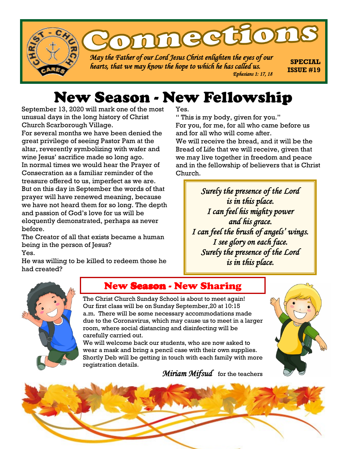

# New Season - New Fellowship

September 13, 2020 will mark one of the most unusual days in the long history of Christ Church Scarborough Village.

For several months we have been denied the great privilege of seeing Pastor Pam at the altar, reverently symbolizing with wafer and wine Jesus' sacrifice made so long ago. In normal times we would hear the Prayer of Consecration as a familiar reminder of the treasure offered to us, imperfect as we are. But on this day in September the words of that prayer will have renewed meaning, because we have not heard them for so long. The depth and passion of God's love for us will be eloquently demonstrated, perhaps as never before.

The Creator of all that exists became a human being in the person of Jesus? Yes.

He was willing to be killed to redeem those he had created?

Yes.

" This is my body, given for you." For you, for me, for all who came before us and for all who will come after.

We will receive the bread, and it will be the Bread of Life that we will receive, given that we may live together in freedom and peace and in the fellowship of believers that is Christ Church.

> *Surely the presence of the Lord is in this place. I can feel his mighty power and his grace. I can feel the brush of angels' wings. I see glory on each face. Surely the presence of the Lord is in this place.*



## New Season - New Sharing

The Christ Church Sunday School is about to meet again! Our first class will be on Sunday September,20 at 10:15 a.m. There will be some necessary accommodations made due to the Coronavirus, which may cause us to meet in a larger room, where social distancing and disinfecting will be carefully carried out.

We will welcome back our students, who are now asked to wear a mask and bring a pencil case with their own supplies. Shortly Deb will be getting in touch with each family with more registration details.

*Miriam Mifsud* for the teachers

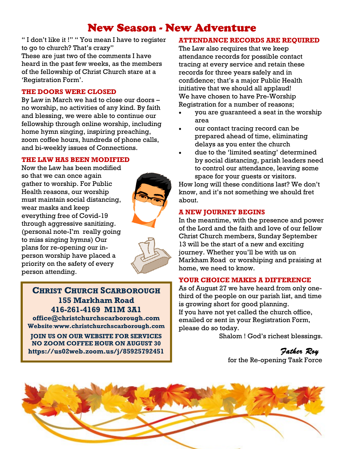## New Season - New Adventure

" I don't like it !" " You mean I have to register to go to church? That's crazy" These are just two of the comments I have heard in the past few weeks, as the members of the fellowship of Christ Church stare at a 'Registration Form'.

### **THE DOORS WERE CLOSED**

By Law in March we had to close our doors – no worship, no activities of any kind. By faith and blessing, we were able to continue our fellowship through online worship, including home hymn singing, inspiring preaching, zoom coffee hours, hundreds of phone calls, and bi-weekly issues of Connections.

### **THE LAW HAS BEEN MODIFIED**

Now the Law has been modified so that we can once again gather to worship. For Public Health reasons, our worship must maintain social distancing, wear masks and keep everything free of Covid-19 through aggressive sanitizing. (personal note-I'm really going to miss singing hymns) Our plans for re-opening our inperson worship have placed a priority on the safety of every person attending.





## **CHRIST CHURCH SCARBOROUGH 155 Markham Road 416-261-4169 M1M 3A1**

**office@christchurchscarborough.com Website**:**www.christchurchscarborough.com**

**JOIN US ON OUR WEBSITE FOR SERVICES NO ZOOM COFFEE HOUR ON AUGUST 30 https://us02web.zoom.us/j/85925792451**

## **ATTENDANCE RECORDS ARE REQUIRED**

The Law also requires that we keep attendance records for possible contact tracing at every service and retain these records for three years safely and in confidence; that's a major Public Health initiative that we should all applaud! We have chosen to have Pre-Worship Registration for a number of reasons;

- you are guaranteed a seat in the worship area
- our contact tracing record can be prepared ahead of time, eliminating delays as you enter the church
- due to the 'limited seating' determined by social distancing, parish leaders need to control our attendance, leaving some space for your guests or visitors.

How long will these conditions last? We don't know, and it's not something we should fret about.

## **A NEW JOURNEY BEGINS**

In the meantime, with the presence and power of the Lord and the faith and love of our fellow Christ Church members, Sunday September 13 will be the start of a new and exciting journey. Whether you'll be with us on Markham Road or worshiping and praising at home, we need to know.

## **YOUR CHOICE MAKES A DIFFERENCE**

As of August 27 we have heard from only onethird of the people on our parish list, and time is growing short for good planning. If you have not yet called the church office, emailed or sent in your Registration Form, please do so today.

Shalom ! God's richest blessings.

 for the Re-opening Task Force *Father Roy*